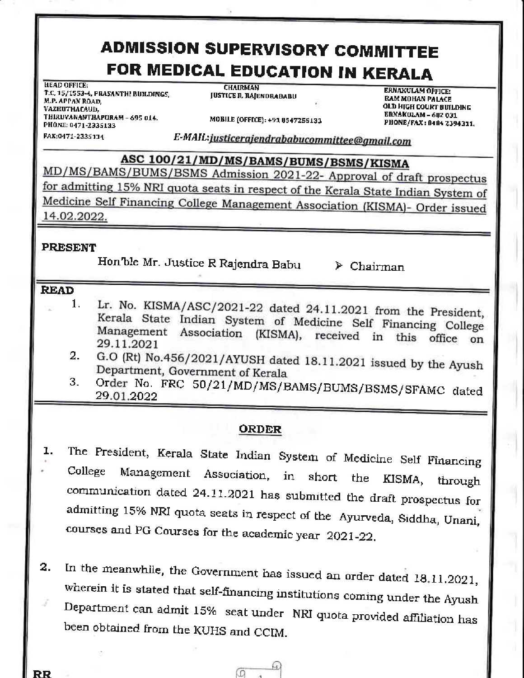# **ADMISSION SUPERVISORY COMMITTEE** FOR MEDICAL EDUCATION IN KERALA

**HEAD OFFICE:** T.C. 15/1553-4, PRASANTH! BUILDINGS, M.P. APPAN ROAD, VAZHUTHACAUD, THIRUVANANTHAPURAM - 695 014. PHONE: 0471-2335133 FAX:0471-2335134

**CHAIRMAN JUSTICE R. RAJENDRABABU** 

MOBILE (OFFICE): +91 8547255133

**ERNAKULAM OFFICE: RAM MOHAN PALACE OLD HIGH COURT BUILDING ERNAKULAM - 682 031** PHONE/FAX: 0484 2394311,

E-MAIL:justicerajendrababucommittee@gmail.com

ASC 100/21/MD/MS/BAMS/BUMS/BSMS/KISMA MD/MS/BAMS/BUMS/BSMS Admission 2021-22- Approval of draft prospectus for admitting 15% NRI quota seats in respect of the Kerala State Indian System of Medicine Self Financing College Management Association (KISMA)- Order issued 14.02.2022.

#### **PRESENT**

Hon'ble Mr. Justice R Rajendra Babu

 $\triangleright$  Chairman

#### **READ**

- Lr. No. KISMA/ASC/2021-22 dated 24.11.2021 from the President, 1. Kerala State Indian System of Medicine Self Financing College Management Association (KISMA), received in this office on 29.11.2021
- G.O (Rt) No.456/2021/AYUSH dated 18.11.2021 issued by the Ayush 2. Department, Government of Kerala
- Order No. FRC 50/21/MD/MS/BAMS/BUMS/BSMS/SFAMC dated 3. 29.01.2022

## **ORDER**

- The President, Kerala State Indian System of Medicine Self Financing ı. Management Association, College in short the KISMA, through communication dated 24.11.2021 has submitted the draft prospectus for admitting 15% NRI quota seats in respect of the Ayurveda, Siddha, Unani, courses and PG Courses for the academic year 2021-22.
- In the meanwhile, the Government has issued an order dated 18.11.2021,  $\overline{2}$ . wherein it is stated that self-financing institutions coming under the Ayush Department can admit 15% seat under NRI quota provided affiliation has been obtained from the KUHS and CCIM.

Ω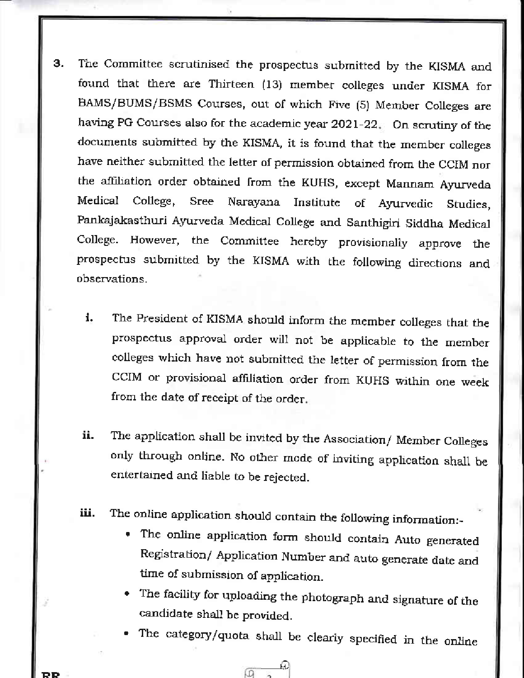- 3. The Committee scrutinised the prospectus submitted by the KISMA and found that there are Thirteen (13) member colleges under KSMA for BAMS/BUMS/BSMS Courses, out of which Five (5) Member Colleges are having PG Courses also for the academic year  $2021-22$ . On scrutiny of the documents submitted by the KISMA, it is found that the member colleges have neither submitted the letter of permission obtained from the CCIM nor the affiliation order obtained from the KUHS, except Mannam Ayurveda Medical College, Sree Narayana Institute of Ayurvedic Studies, Pankajakasthuri Ayurveda Medical College and Santhigiri Siddha Medical College. However, the Committee hereby provisionally approve the prospectus submitted by the KrSMA with the following directions mal observations.
	- i. The President of KISMA should inform the member colleges that the prospectus approval order will not be applicable to the member colleges which have not submitted the letter of permission from the CCIM or provisional affiliation order from KUHS within one week from the date of receipt of the order.
	- ii. The application shall be invited by the Association/ Member Colleges only through online. No other mode of inviting application shall be entertained and liabte to be rejected.
	- iii. The online application should contain the following information:-
		- . The online application form should contain Auto generated Registration/ Application Number and auto generate date and time of submission of application.
		- The facility for uploading the photograph and signature of the candidate shall be provided.
		- The category/quota shall be clearly specified in the online

e)<br>M 砢

RR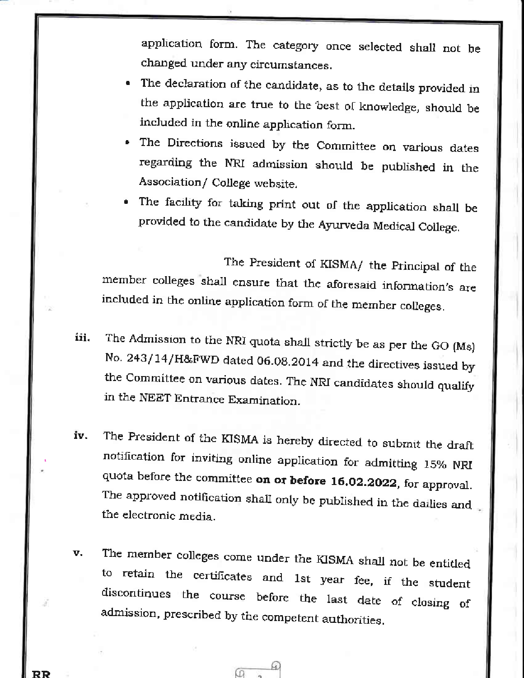application form. The category once selected shall not be changed under any circumstances.

- The declaration of the candidate, as to the details provided in the application are true to the best of knowledge, should be included in the online application form.
- The Directions issued by the Committee on various dates regarding the NRI admission should be published in the Association/ College website.
- The facility for taking print out of the application shall be provided to the candidate by the Ayurveda Medical College.

The President of KISMA/ the Principal of the member colleges shall ensure that the aforesaid information's are included in the online application form of the member colleges.

- The Admission to the NRI quota shall strictly be as per the GO (Ms) iii. No. 243/14/H&FWD dated 06.08.2014 and the directives issued by the Committee on various dates. The NRI candidates should qualify in the NEET Entrance Examination.
- The President of the KISMA is hereby directed to submit the draft iv. notification for inviting online application for admitting 15% NRI quota before the committee on or before 16.02.2022, for approval. The approved notification shall only be published in the dailies and the electronic media.
- The member colleges come under the KISMA shall not be entitled v. to retain the certificates and 1st year fee, if the student discontinues the course before the last date of closing of admission, prescribed by the competent authorities.

RR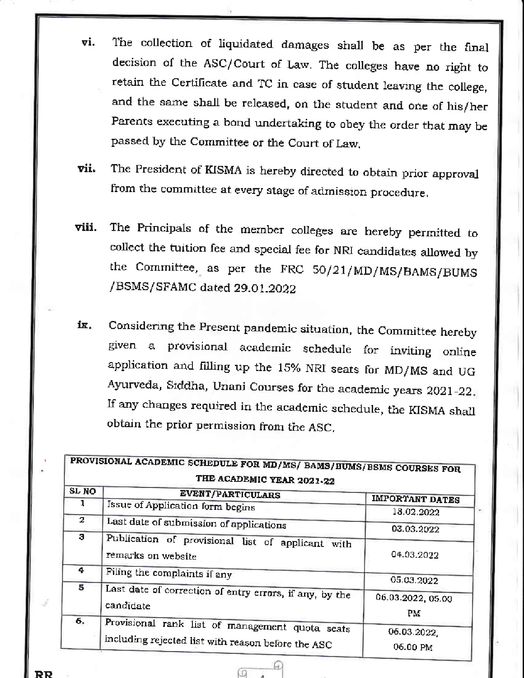- The collection of liquidated damages shall be as per the final vi. decision of the ASC/Court of Law. The colleges have no right to retain the Certificate and TC in case of student leaving the college, and the same shall be released, on the student and one of his/her Parents executing a bond undertaking to obey the order that may be passed by the Committee or the Court of Law.
- The President of KISMA is hereby directed to obtain prior approval vii. from the committee at every stage of admission procedure.
- The Principals of the member colleges are hereby permitted to viii. collect the tuition fee and special fee for NRI candidates allowed by the Committee, as per the FRC 50/21/MD/MS/BAMS/BUMS /BSMS/SFAMC dated 29.01.2022
- Considering the Present pandemic situation, the Committee hereby ix. given a provisional academic schedule for inviting online application and filling up the 15% NRI seats for MD/MS and UG Ayurveda, Siddha, Unani Courses for the academic years 2021-22. If any changes required in the academic schedule, the KISMA shall obtain the prior permission from the ASC.

| SL NO           | <b>EVENT/PARTICULARS</b>                                                                              | <b>IMPORTANT DATES</b>  |
|-----------------|-------------------------------------------------------------------------------------------------------|-------------------------|
|                 | Issue of Application form begins                                                                      | 18.02.2022              |
| $\mathbf{z}$    | Last date of submission of applications                                                               | 03.03.2022              |
| з               | Publication of provisional list of applicant with<br>remarks on website                               | 04.03.2022              |
| 4               | Filing the complaints if any                                                                          | 05.03.2022              |
| $5\overline{5}$ | Last date of correction of entry errors, if any, by the<br>candidate                                  | 06.03.2022, 05.00<br>Pм |
| 6.              | Provisional rank list of management quota seats<br>including rejected list with reason before the ASC | 06.03.2022,<br>06.00 PM |

Ю

RR